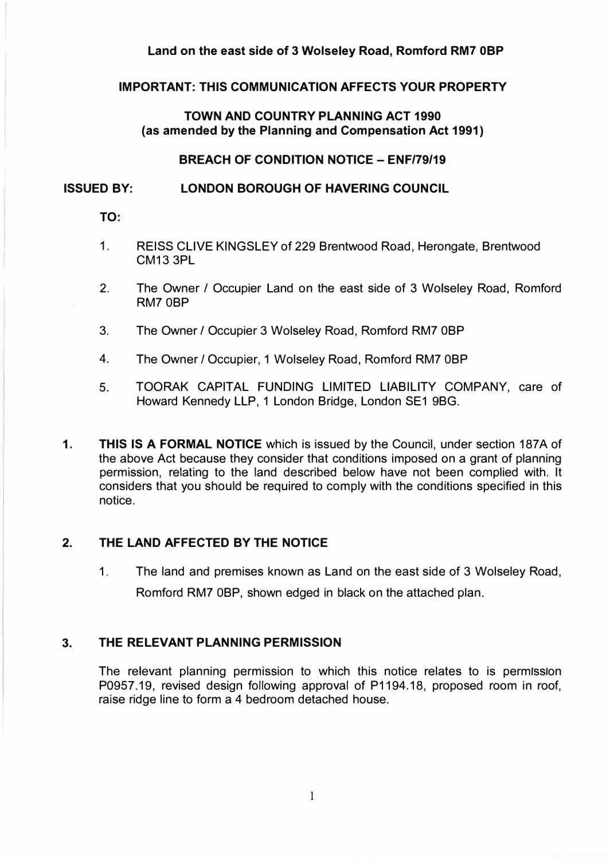#### **Land on the east side of 3 Wolseley Road, Romford RM7 0BP**

#### **IMPORTANT: THIS COMMUNICATION AFFECTS YOUR PROPERTY**

## **TOWN AND COUNTRY PLANNING ACT 1990 (as amended by the Planning and Compensation Act 1991)**

#### **BREACH OF CONDITION NOTICE- ENF/79/19**

#### **ISSUED BY: LONDON BOROUGH OF HAVERING COUNCIL**

**TO:** 

- 1. REISS CLIVE KINGSLEY of 229 Brentwood Road, Herongate, Brentwood CM13 3PL
- 2. The Owner/ Occupier Land on the east side of 3 Wolseley Road, Romford RM?0BP
- 3. The Owner/ Occupier 3 Wolseley Road, Romford RM? 0BP
- 4. The Owner *I* Occupier, 1 Wolseley Road, Romford RM? 0BP
- 5. TOORAK CAPITAL FUNDING LIMITED LIABILITY COMPANY, care of Howard Kennedy LLP, 1 London Bridge, London SE1 9BG.
- **1. THIS IS A FORMAL NOTICE** which is issued by the Council, under section 187A of the above Act because they consider that conditions imposed on a grant of planning permission, relating to the land described below have not been complied with. It considers that you should be required to comply with the conditions specified in this notice.

## **2. THE LAND AFFECTED BY THE NOTICE**

1. The land and premises known as Land on the east side of 3 Wolseley Road, Romford RM? 0BP, shown edged in black on the attached plan.

## **3. THE RELEVANT PLANNING PERMISSION**

The relevant planning permission to which this notice relates to is permission P0957.19, revised design following approval of P1194.18, proposed room in roof, raise ridge line to form a 4 bedroom detached house.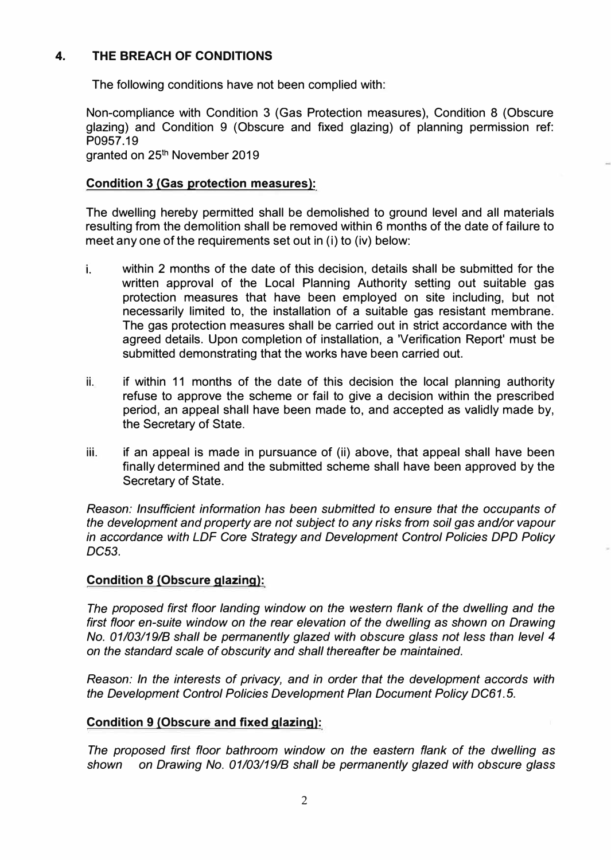# **4. THE BREACH OF CONDITIONS**

The following conditions have not been complied with:

Non-compliance with Condition 3 (Gas Protection measures), Condition 8 (Obscure glazing) and Condition 9 (Obscure and fixed glazing) of planning permission ref: P0957.19 granted on 25<sup>th</sup> November 2019

# **Condition 3 (Gas protection measures):**

The dwelling hereby permitted shall be demolished to ground level and all materials resulting from the demolition shall be removed within 6 months of the date of failure to meet any one of the requirements set out in (i) to (iv) below:

- i. within 2 months of the date of this decision, details shall be submitted for the written approval of the Local Planning Authority setting out suitable gas protection measures that have been employed on site including, but not necessarily limited to, the installation of a suitable gas resistant membrane. The gas protection measures shall be carried out in strict accordance with the agreed details. Upon completion of installation, a 'Verification Report' must be submitted demonstrating that the works have been carried out.
- ii. if within 11 months of the date of this decision the local planning authority refuse to approve the scheme or fail to give a decision within the prescribed period, an appeal shall have been made to, and accepted as validly made by, the Secretary of State.
- iii. if an appeal is made in pursuance of (ii) above, that appeal shall have been finally determined and the submitted scheme shall have been approved by the Secretary of State.

*Reason: Insufficient information has been submitted to ensure that the occupants of the development and property are not subject to any risks from soil gas and/or vapour in accordance with LDF Core Strategy and Development Control Policies DPD Policy DC53.* 

## **Condition 8 (Obscure glazing):**

*The proposed first floor landing window on the western flank of the dwelling and the*  first floor en-suite window on the rear elevation of the dwelling as shown on Drawing *No. 01/03/19/B shall be permanently glazed with obscure glass not less than level 4 on the standard scale of obscurity and shall thereafter be maintained.* 

*Reason: In the interests of privacy, and in order that the development accords with the Development Control Policies Development Plan Document Policy DC61.* 5.

## **Condition 9 (Obscure and fixed glazing):**

*The proposed first floor bathroom window on the eastern flank of the dwelling as shown on Drawing No. 01/03/19/B shall be permanently glazed with obscure glass*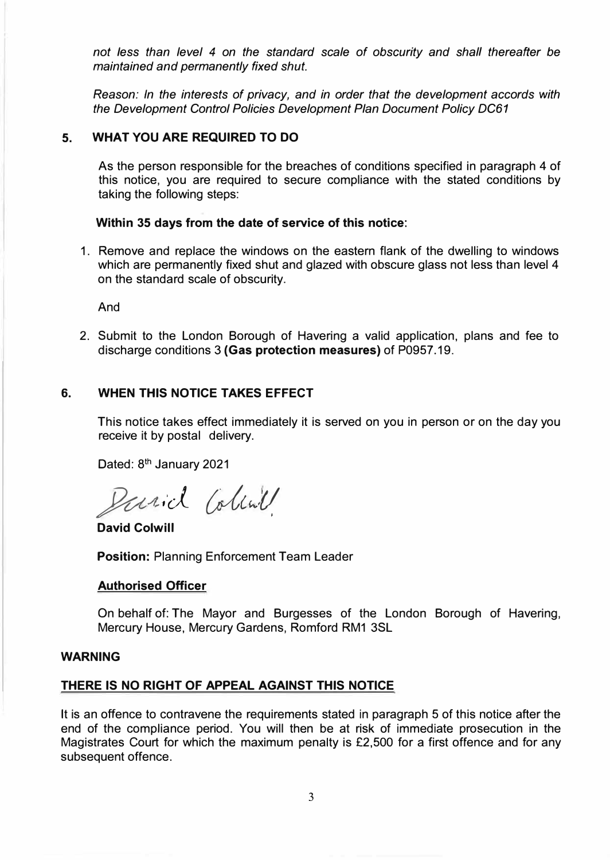*not* less *than level 4 on the standard scale of obscurity and shall thereafter be maintained and permanently fixed shut.* 

*Reason: In the interests of privacy, and in order that the development accords with the Development Control Policies Development Plan Document Policy DC61* 

## **5. WHAT YOU ARE REQUIRED TO DO**

As the person responsible for the breaches of conditions specified in paragraph 4 of this notice, you are required to secure compliance with the stated conditions by taking the following steps:

## **Within 35 days from the date of service of this notice:**

1. Remove and replace the windows on the eastern flank of the dwelling to windows which are permanently fixed shut and glazed with obscure glass not less than level 4 on the standard scale of obscurity.

And

2. Submit to the London Borough of Havering a valid application, plans and fee to discharge conditions 3 **(Gas protection measures)** of P0957.19.

## **6. WHEN THIS NOTICE TAKES EFFECT**

This notice takes effect immediately it is served on you in person or on the day you receive it by postal delivery.

Dated: 8<sup>th</sup> January 2021

Parid Colink

**David Colwill** 

**Position:** Planning Enforcement Team Leader

#### **Authorised Officer**

On behalf of: The Mayor and Burgesses of the London Borough of Havering, Mercury House, Mercury Gardens, Romford RM1 3SL

#### **WARNING**

# **THERE IS NO RIGHT OF APPEAL AGAINST THIS NOTICE**

It is an offence to contravene the requirements stated in paragraph 5 of this notice after the end of the compliance period. You will then be at risk of immediate prosecution in the Magistrates Court for which the maximum penalty is £2,500 for a first offence and for any subsequent offence.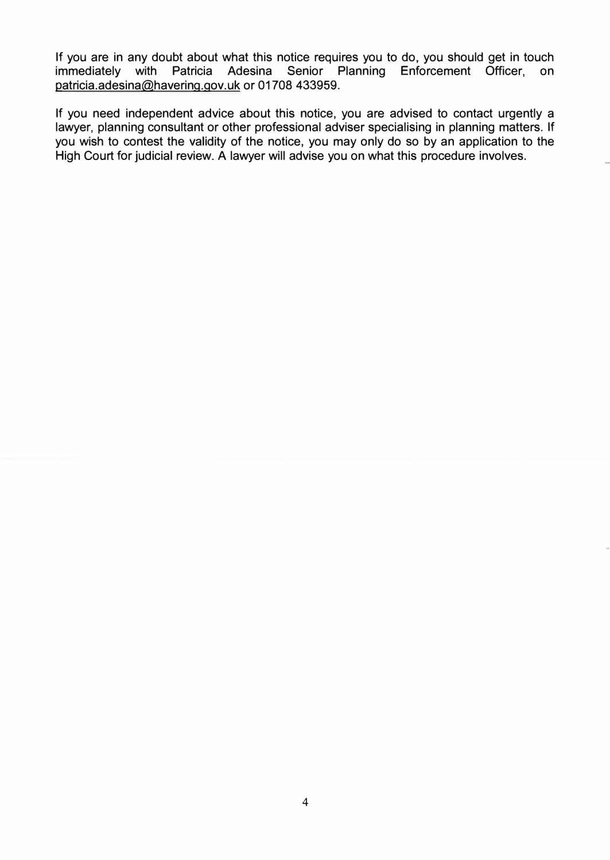If you are in any doubt about what this notice requires you to do, you should get in touch immediately with Patricia Adesina Senior Planning Enforcement Officer, on patricia.adesina@havering.gov.uk or 01708 433959.

If you need independent advice about this notice, you are advised to contact urgently a lawyer, planning consultant or other professional adviser specialising in planning matters. If you wish to contest the validity of the notice, you may only do so by an application to the High Court for judicial review. A lawyer will advise you on what this procedure involves.